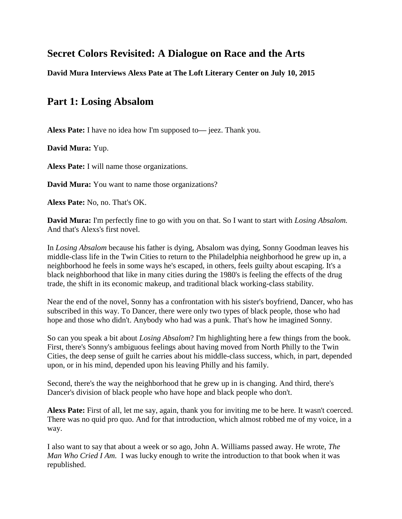# **Secret Colors Revisited: A Dialogue on Race and the Arts**

**David Mura Interviews Alexs Pate at The Loft Literary Center on July 10, 2015**

# **Part 1: Losing Absalom**

**Alexs Pate:** I have no idea how I'm supposed to**—** jeez. Thank you.

**David Mura:** Yup.

**Alexs Pate:** I will name those organizations.

**David Mura:** You want to name those organizations?

**Alexs Pate:** No, no. That's OK.

**David Mura:** I'm perfectly fine to go with you on that. So I want to start with *Losing Absalom.*  And that's Alexs's first novel.

In *Losing Absalom* because his father is dying, Absalom was dying, Sonny Goodman leaves his middle-class life in the Twin Cities to return to the Philadelphia neighborhood he grew up in, a neighborhood he feels in some ways he's escaped, in others, feels guilty about escaping. It's a black neighborhood that like in many cities during the 1980's is feeling the effects of the drug trade, the shift in its economic makeup, and traditional black working-class stability.

Near the end of the novel, Sonny has a confrontation with his sister's boyfriend, Dancer, who has subscribed in this way. To Dancer, there were only two types of black people, those who had hope and those who didn't. Anybody who had was a punk. That's how he imagined Sonny.

So can you speak a bit about *Losing Absalom*? I'm highlighting here a few things from the book. First, there's Sonny's ambiguous feelings about having moved from North Philly to the Twin Cities, the deep sense of guilt he carries about his middle-class success, which, in part, depended upon, or in his mind, depended upon his leaving Philly and his family.

Second, there's the way the neighborhood that he grew up in is changing. And third, there's Dancer's division of black people who have hope and black people who don't.

**Alexs Pate:** First of all, let me say, again, thank you for inviting me to be here. It wasn't coerced. There was no quid pro quo. And for that introduction, which almost robbed me of my voice, in a way.

I also want to say that about a week or so ago, John A. Williams passed away. He wrote, *The Man Who Cried I Am.* I was lucky enough to write the introduction to that book when it was republished.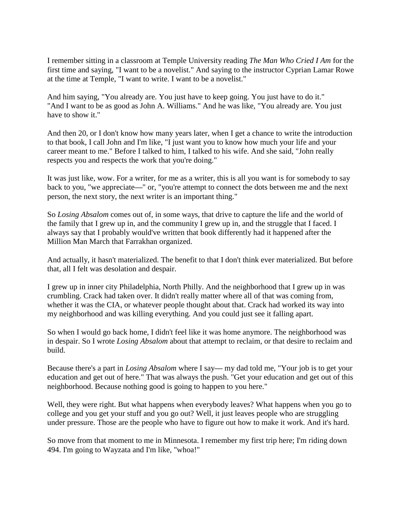I remember sitting in a classroom at Temple University reading *The Man Who Cried I Am* for the first time and saying, "I want to be a novelist." And saying to the instructor Cyprian Lamar Rowe at the time at Temple, "I want to write. I want to be a novelist."

And him saying, "You already are. You just have to keep going. You just have to do it." "And I want to be as good as John A. Williams." And he was like, "You already are. You just have to show it."

And then 20, or I don't know how many years later, when I get a chance to write the introduction to that book, I call John and I'm like, "I just want you to know how much your life and your career meant to me." Before I talked to him, I talked to his wife. And she said, "John really respects you and respects the work that you're doing."

It was just like, wow. For a writer, for me as a writer, this is all you want is for somebody to say back to you, "we appreciate**—**" or, "you're attempt to connect the dots between me and the next person, the next story, the next writer is an important thing."

So *Losing Absalom* comes out of, in some ways, that drive to capture the life and the world of the family that I grew up in, and the community I grew up in, and the struggle that I faced. I always say that I probably would've written that book differently had it happened after the Million Man March that Farrakhan organized.

And actually, it hasn't materialized. The benefit to that I don't think ever materialized. But before that, all I felt was desolation and despair.

I grew up in inner city Philadelphia, North Philly. And the neighborhood that I grew up in was crumbling. Crack had taken over. It didn't really matter where all of that was coming from, whether it was the CIA, or whatever people thought about that. Crack had worked its way into my neighborhood and was killing everything. And you could just see it falling apart.

So when I would go back home, I didn't feel like it was home anymore. The neighborhood was in despair. So I wrote *Losing Absalom* about that attempt to reclaim, or that desire to reclaim and build.

Because there's a part in *Losing Absalom* where I say**—** my dad told me, "Your job is to get your education and get out of here." That was always the push. "Get your education and get out of this neighborhood. Because nothing good is going to happen to you here."

Well, they were right. But what happens when everybody leaves? What happens when you go to college and you get your stuff and you go out? Well, it just leaves people who are struggling under pressure. Those are the people who have to figure out how to make it work. And it's hard.

So move from that moment to me in Minnesota. I remember my first trip here; I'm riding down 494. I'm going to Wayzata and I'm like, "whoa!"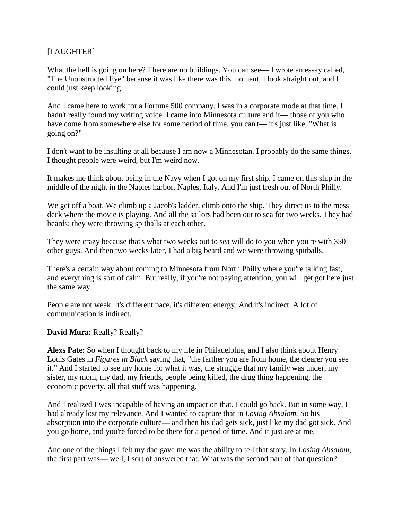## [LAUGHTER]

What the hell is going on here? There are no buildings. You can see**—** I wrote an essay called, "The Unobstructed Eye" because it was like there was this moment, I look straight out, and I could just keep looking.

And I came here to work for a Fortune 500 company. I was in a corporate mode at that time. I hadn't really found my writing voice. I came into Minnesota culture and it**—** those of you who have come from somewhere else for some period of time, you can't**—** it's just like, "What is going on?"

I don't want to be insulting at all because I am now a Minnesotan. I probably do the same things. I thought people were weird, but I'm weird now.

It makes me think about being in the Navy when I got on my first ship. I came on this ship in the middle of the night in the Naples harbor, Naples, Italy. And I'm just fresh out of North Philly.

We get off a boat. We climb up a Jacob's ladder, climb onto the ship. They direct us to the mess deck where the movie is playing. And all the sailors had been out to sea for two weeks. They had beards; they were throwing spitballs at each other.

They were crazy because that's what two weeks out to sea will do to you when you're with 350 other guys. And then two weeks later, I had a big beard and we were throwing spitballs.

There's a certain way about coming to Minnesota from North Philly where you're talking fast, and everything is sort of calm. But really, if you're not paying attention, you will get got here just the same way.

People are not weak. It's different pace, it's different energy. And it's indirect. A lot of communication is indirect.

## **David Mura:** Really? Really?

**Alexs Pate:** So when I thought back to my life in Philadelphia, and I also think about Henry Louis Gates in *Figures in Black* saying that, "the farther you are from home, the clearer you see it." And I started to see my home for what it was, the struggle that my family was under, my sister, my mom, my dad, my friends, people being killed, the drug thing happening, the economic poverty, all that stuff was happening.

And I realized I was incapable of having an impact on that. I could go back. But in some way, I had already lost my relevance. And I wanted to capture that in *Losing Absalom.* So his absorption into the corporate culture**—** and then his dad gets sick, just like my dad got sick. And you go home, and you're forced to be there for a period of time. And it just ate at me.

And one of the things I felt my dad gave me was the ability to tell that story. In *Losing Absalom,* the first part was**—** well, I sort of answered that. What was the second part of that question?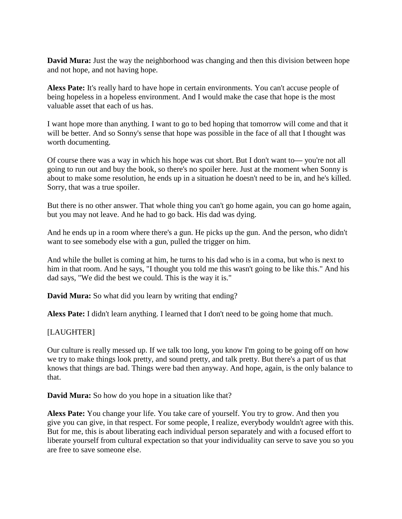**David Mura:** Just the way the neighborhood was changing and then this division between hope and not hope, and not having hope.

**Alexs Pate:** It's really hard to have hope in certain environments. You can't accuse people of being hopeless in a hopeless environment. And I would make the case that hope is the most valuable asset that each of us has.

I want hope more than anything. I want to go to bed hoping that tomorrow will come and that it will be better. And so Sonny's sense that hope was possible in the face of all that I thought was worth documenting.

Of course there was a way in which his hope was cut short. But I don't want to**—** you're not all going to run out and buy the book, so there's no spoiler here. Just at the moment when Sonny is about to make some resolution, he ends up in a situation he doesn't need to be in, and he's killed. Sorry, that was a true spoiler.

But there is no other answer. That whole thing you can't go home again, you can go home again, but you may not leave. And he had to go back. His dad was dying.

And he ends up in a room where there's a gun. He picks up the gun. And the person, who didn't want to see somebody else with a gun, pulled the trigger on him.

And while the bullet is coming at him, he turns to his dad who is in a coma, but who is next to him in that room. And he says, "I thought you told me this wasn't going to be like this." And his dad says, "We did the best we could. This is the way it is."

**David Mura:** So what did you learn by writing that ending?

**Alexs Pate:** I didn't learn anything. I learned that I don't need to be going home that much.

#### [LAUGHTER]

Our culture is really messed up. If we talk too long, you know I'm going to be going off on how we try to make things look pretty, and sound pretty, and talk pretty. But there's a part of us that knows that things are bad. Things were bad then anyway. And hope, again, is the only balance to that.

**David Mura:** So how do you hope in a situation like that?

**Alexs Pate:** You change your life. You take care of yourself. You try to grow. And then you give you can give, in that respect. For some people, I realize, everybody wouldn't agree with this. But for me, this is about liberating each individual person separately and with a focused effort to liberate yourself from cultural expectation so that your individuality can serve to save you so you are free to save someone else.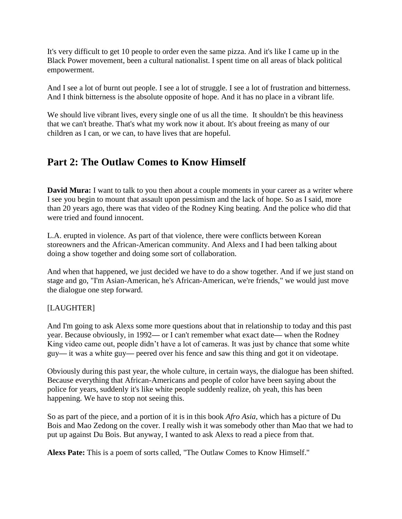It's very difficult to get 10 people to order even the same pizza. And it's like I came up in the Black Power movement, been a cultural nationalist. I spent time on all areas of black political empowerment.

And I see a lot of burnt out people. I see a lot of struggle. I see a lot of frustration and bitterness. And I think bitterness is the absolute opposite of hope. And it has no place in a vibrant life.

We should live vibrant lives, every single one of us all the time. It shouldn't be this heaviness that we can't breathe. That's what my work now it about. It's about freeing as many of our children as I can, or we can, to have lives that are hopeful.

# **Part 2: The Outlaw Comes to Know Himself**

**David Mura:** I want to talk to you then about a couple moments in your career as a writer where I see you begin to mount that assault upon pessimism and the lack of hope. So as I said, more than 20 years ago, there was that video of the Rodney King beating. And the police who did that were tried and found innocent.

L.A. erupted in violence. As part of that violence, there were conflicts between Korean storeowners and the African-American community. And Alexs and I had been talking about doing a show together and doing some sort of collaboration.

And when that happened, we just decided we have to do a show together. And if we just stand on stage and go, "I'm Asian-American, he's African-American, we're friends," we would just move the dialogue one step forward.

# [LAUGHTER]

And I'm going to ask Alexs some more questions about that in relationship to today and this past year. Because obviously, in 1992**—** or I can't remember what exact date**—** when the Rodney King video came out, people didn't have a lot of cameras. It was just by chance that some white guy**—** it was a white guy**—** peered over his fence and saw this thing and got it on videotape.

Obviously during this past year, the whole culture, in certain ways, the dialogue has been shifted. Because everything that African-Americans and people of color have been saying about the police for years, suddenly it's like white people suddenly realize, oh yeah, this has been happening. We have to stop not seeing this.

So as part of the piece, and a portion of it is in this book *Afro Asia,* which has a picture of Du Bois and Mao Zedong on the cover. I really wish it was somebody other than Mao that we had to put up against Du Bois. But anyway, I wanted to ask Alexs to read a piece from that.

**Alexs Pate:** This is a poem of sorts called, "The Outlaw Comes to Know Himself."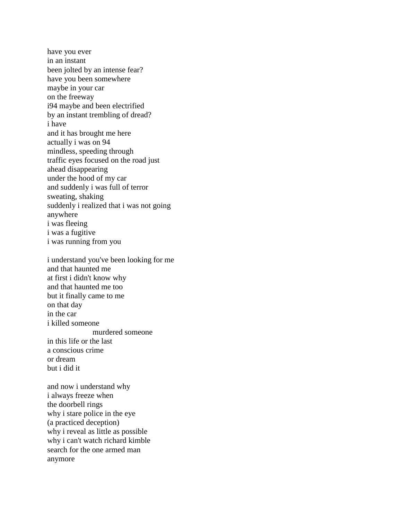have you ever in an instant been jolted by an intense fear? have you been somewhere maybe in your car on the freeway i94 maybe and been electrified by an instant trembling of dread? i have and it has brought me here actually i was on 94 mindless, speeding through traffic eyes focused on the road just ahead disappearing under the hood of my car and suddenly i was full of terror sweating, shaking suddenly i realized that i was not going anywhere i was fleeing i was a fugitive i was running from you

i understand you've been looking for me and that haunted me at first i didn't know why and that haunted me too but it finally came to me on that day in the car i killed someone murdered someone in this life or the last a conscious crime or dream but i did it

and now i understand why i always freeze when the doorbell rings why i stare police in the eye (a practiced deception) why i reveal as little as possible why i can't watch richard kimble search for the one armed man anymore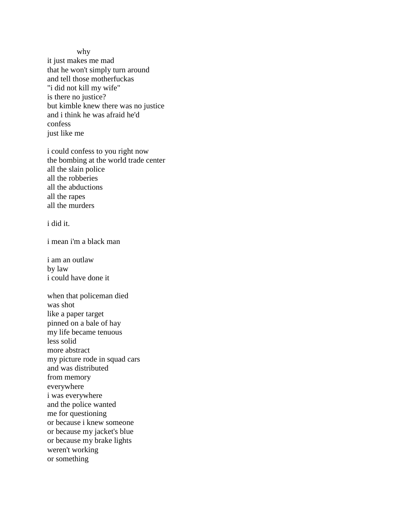why

it just makes me mad that he won't simply turn around and tell those motherfuckas "i did not kill my wife" is there no justice? but kimble knew there was no justice and i think he was afraid he'd confess just like me

i could confess to you right now the bombing at the world trade center all the slain police all the robberies all the abductions all the rapes all the murders

i did it.

i mean i'm a black man

i am an outlaw by law i could have done it

when that policeman died was shot like a paper target pinned on a bale of hay my life became tenuous less solid more abstract my picture rode in squad cars and was distributed from memory everywhere i was everywhere and the police wanted me for questioning or because i knew someone or because my jacket's blue or because my brake lights weren't working or something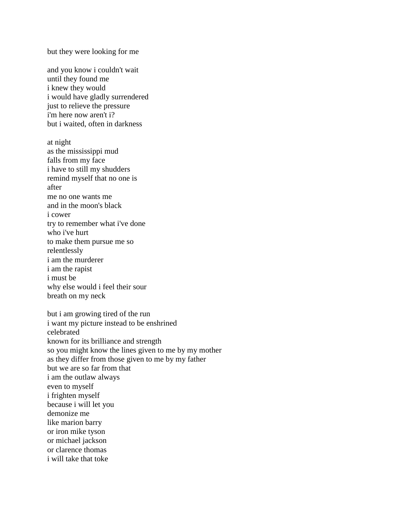but they were looking for me

and you know i couldn't wait until they found me i knew they would i would have gladly surrendered just to relieve the pressure i'm here now aren't i? but i waited, often in darkness

at night as the mississippi mud falls from my face i have to still my shudders remind myself that no one is after me no one wants me and in the moon's black i cower try to remember what i've done who i've hurt to make them pursue me so relentlessly i am the murderer i am the rapist i must be why else would i feel their sour breath on my neck

but i am growing tired of the run i want my picture instead to be enshrined celebrated known for its brilliance and strength so you might know the lines given to me by my mother as they differ from those given to me by my father but we are so far from that i am the outlaw always even to myself i frighten myself because i will let you demonize me like marion barry or iron mike tyson or michael jackson or clarence thomas i will take that toke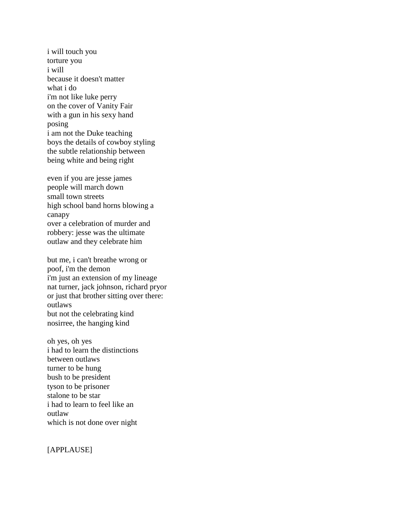i will touch you torture you i will because it doesn't matter what i do i'm not like luke perry on the cover of Vanity Fair with a gun in his sexy hand posing i am not the Duke teaching boys the details of cowboy styling the subtle relationship between being white and being right

even if you are jesse james people will march down small town streets high school band horns blowing a canapy over a celebration of murder and robbery: jesse was the ultimate outlaw and they celebrate him

but me, i can't breathe wrong or poof, i'm the demon i'm just an extension of my lineage nat turner, jack johnson, richard pryor or just that brother sitting over there: outlaws but not the celebrating kind nosirree, the hanging kind

oh yes, oh yes i had to learn the distinctions between outlaws turner to be hung bush to be president tyson to be prisoner stalone to be star i had to learn to feel like an outlaw which is not done over night

[APPLAUSE]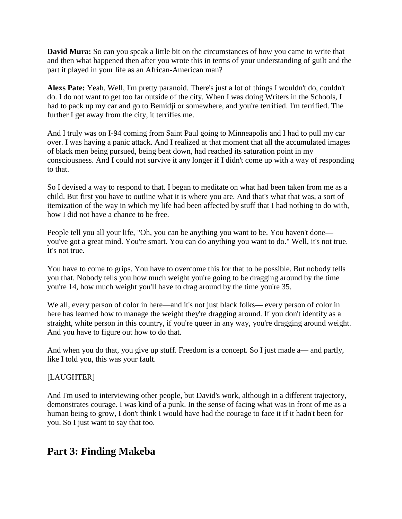**David Mura:** So can you speak a little bit on the circumstances of how you came to write that and then what happened then after you wrote this in terms of your understanding of guilt and the part it played in your life as an African-American man?

**Alexs Pate:** Yeah. Well, I'm pretty paranoid. There's just a lot of things I wouldn't do, couldn't do. I do not want to get too far outside of the city. When I was doing Writers in the Schools, I had to pack up my car and go to Bemidji or somewhere, and you're terrified. I'm terrified. The further I get away from the city, it terrifies me.

And I truly was on I-94 coming from Saint Paul going to Minneapolis and I had to pull my car over. I was having a panic attack. And I realized at that moment that all the accumulated images of black men being pursued, being beat down, had reached its saturation point in my consciousness. And I could not survive it any longer if I didn't come up with a way of responding to that.

So I devised a way to respond to that. I began to meditate on what had been taken from me as a child. But first you have to outline what it is where you are. And that's what that was, a sort of itemization of the way in which my life had been affected by stuff that I had nothing to do with, how I did not have a chance to be free.

People tell you all your life, "Oh, you can be anything you want to be. You haven't done you've got a great mind. You're smart. You can do anything you want to do." Well, it's not true. It's not true.

You have to come to grips. You have to overcome this for that to be possible. But nobody tells you that. Nobody tells you how much weight you're going to be dragging around by the time you're 14, how much weight you'll have to drag around by the time you're 35.

We all, every person of color in here—and it's not just black folks**—** every person of color in here has learned how to manage the weight they're dragging around. If you don't identify as a straight, white person in this country, if you're queer in any way, you're dragging around weight. And you have to figure out how to do that.

And when you do that, you give up stuff. Freedom is a concept. So I just made a**—** and partly, like I told you, this was your fault.

## [LAUGHTER]

And I'm used to interviewing other people, but David's work, although in a different trajectory, demonstrates courage. I was kind of a punk. In the sense of facing what was in front of me as a human being to grow, I don't think I would have had the courage to face it if it hadn't been for you. So I just want to say that too.

# **Part 3: Finding Makeba**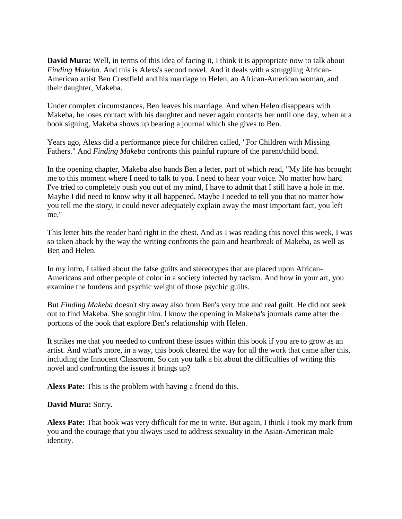**David Mura:** Well, in terms of this idea of facing it, I think it is appropriate now to talk about *Finding Makeba.* And this is Alexs's second novel. And it deals with a struggling African-American artist Ben Crestfield and his marriage to Helen, an African-American woman, and their daughter, Makeba.

Under complex circumstances, Ben leaves his marriage. And when Helen disappears with Makeba, he loses contact with his daughter and never again contacts her until one day, when at a book signing, Makeba shows up bearing a journal which she gives to Ben.

Years ago, Alexs did a performance piece for children called, "For Children with Missing Fathers." And *Finding Makeba* confronts this painful rupture of the parent/child bond.

In the opening chapter, Makeba also hands Ben a letter, part of which read, "My life has brought me to this moment where I need to talk to you. I need to hear your voice. No matter how hard I've tried to completely push you out of my mind, I have to admit that I still have a hole in me. Maybe I did need to know why it all happened. Maybe I needed to tell you that no matter how you tell me the story, it could never adequately explain away the most important fact, you left me."

This letter hits the reader hard right in the chest. And as I was reading this novel this week, I was so taken aback by the way the writing confronts the pain and heartbreak of Makeba, as well as Ben and Helen.

In my intro, I talked about the false guilts and stereotypes that are placed upon African-Americans and other people of color in a society infected by racism. And how in your art, you examine the burdens and psychic weight of those psychic guilts.

But *Finding Makeba* doesn't shy away also from Ben's very true and real guilt. He did not seek out to find Makeba. She sought him. I know the opening in Makeba's journals came after the portions of the book that explore Ben's relationship with Helen.

It strikes me that you needed to confront these issues within this book if you are to grow as an artist. And what's more, in a way, this book cleared the way for all the work that came after this, including the Innocent Classroom. So can you talk a bit about the difficulties of writing this novel and confronting the issues it brings up?

**Alexs Pate:** This is the problem with having a friend do this.

#### **David Mura:** Sorry.

**Alexs Pate:** That book was very difficult for me to write. But again, I think I took my mark from you and the courage that you always used to address sexuality in the Asian-American male identity.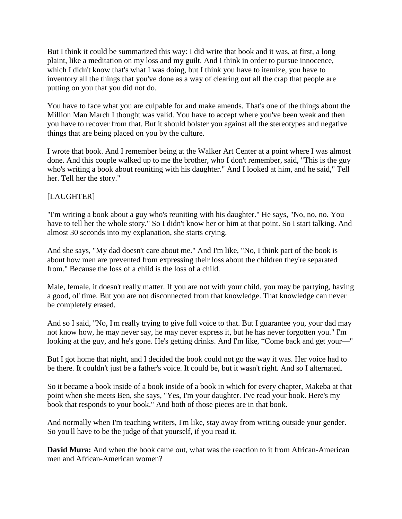But I think it could be summarized this way: I did write that book and it was, at first, a long plaint, like a meditation on my loss and my guilt. And I think in order to pursue innocence, which I didn't know that's what I was doing, but I think you have to itemize, you have to inventory all the things that you've done as a way of clearing out all the crap that people are putting on you that you did not do.

You have to face what you are culpable for and make amends. That's one of the things about the Million Man March I thought was valid. You have to accept where you've been weak and then you have to recover from that. But it should bolster you against all the stereotypes and negative things that are being placed on you by the culture.

I wrote that book. And I remember being at the Walker Art Center at a point where I was almost done. And this couple walked up to me the brother, who I don't remember, said, "This is the guy who's writing a book about reuniting with his daughter." And I looked at him, and he said," Tell her. Tell her the story."

# [LAUGHTER]

"I'm writing a book about a guy who's reuniting with his daughter." He says, "No, no, no. You have to tell her the whole story." So I didn't know her or him at that point. So I start talking. And almost 30 seconds into my explanation, she starts crying.

And she says, "My dad doesn't care about me." And I'm like, "No, I think part of the book is about how men are prevented from expressing their loss about the children they're separated from." Because the loss of a child is the loss of a child.

Male, female, it doesn't really matter. If you are not with your child, you may be partying, having a good, ol' time. But you are not disconnected from that knowledge. That knowledge can never be completely erased.

And so I said, "No, I'm really trying to give full voice to that. But I guarantee you, your dad may not know how, he may never say, he may never express it, but he has never forgotten you." I'm looking at the guy, and he's gone. He's getting drinks. And I'm like, "Come back and get your**—**"

But I got home that night, and I decided the book could not go the way it was. Her voice had to be there. It couldn't just be a father's voice. It could be, but it wasn't right. And so I alternated.

So it became a book inside of a book inside of a book in which for every chapter, Makeba at that point when she meets Ben, she says, "Yes, I'm your daughter. I've read your book. Here's my book that responds to your book." And both of those pieces are in that book.

And normally when I'm teaching writers, I'm like, stay away from writing outside your gender. So you'll have to be the judge of that yourself, if you read it.

**David Mura:** And when the book came out, what was the reaction to it from African-American men and African-American women?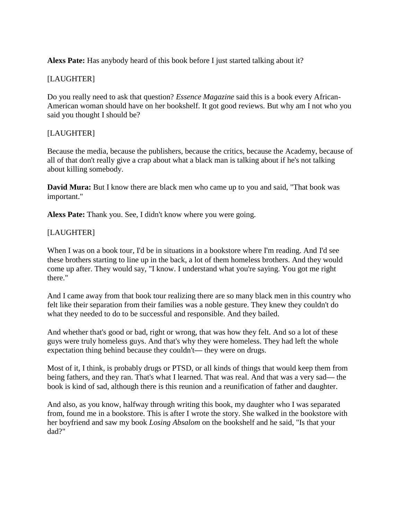**Alexs Pate:** Has anybody heard of this book before I just started talking about it?

# [LAUGHTER]

Do you really need to ask that question? *Essence Magazine* said this is a book every African-American woman should have on her bookshelf. It got good reviews. But why am I not who you said you thought I should be?

# [LAUGHTER]

Because the media, because the publishers, because the critics, because the Academy, because of all of that don't really give a crap about what a black man is talking about if he's not talking about killing somebody.

**David Mura:** But I know there are black men who came up to you and said, "That book was important."

**Alexs Pate:** Thank you. See, I didn't know where you were going.

# [LAUGHTER]

When I was on a book tour, I'd be in situations in a bookstore where I'm reading. And I'd see these brothers starting to line up in the back, a lot of them homeless brothers. And they would come up after. They would say, "I know. I understand what you're saying. You got me right there."

And I came away from that book tour realizing there are so many black men in this country who felt like their separation from their families was a noble gesture. They knew they couldn't do what they needed to do to be successful and responsible. And they bailed.

And whether that's good or bad, right or wrong, that was how they felt. And so a lot of these guys were truly homeless guys. And that's why they were homeless. They had left the whole expectation thing behind because they couldn't**—** they were on drugs.

Most of it, I think, is probably drugs or PTSD, or all kinds of things that would keep them from being fathers, and they ran. That's what I learned. That was real. And that was a very sad**—** the book is kind of sad, although there is this reunion and a reunification of father and daughter.

And also, as you know, halfway through writing this book, my daughter who I was separated from, found me in a bookstore. This is after I wrote the story. She walked in the bookstore with her boyfriend and saw my book *Losing Absalom* on the bookshelf and he said, "Is that your dad?"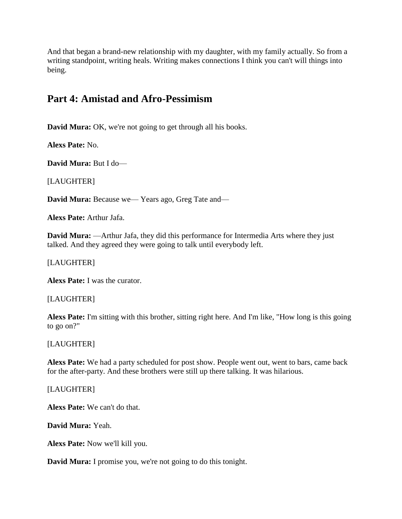And that began a brand-new relationship with my daughter, with my family actually. So from a writing standpoint, writing heals. Writing makes connections I think you can't will things into being.

# **Part 4: Amistad and Afro-Pessimism**

**David Mura:** OK, we're not going to get through all his books.

**Alexs Pate:** No.

**David Mura:** But I do—

[LAUGHTER]

**David Mura:** Because we— Years ago, Greg Tate and—

**Alexs Pate:** Arthur Jafa.

**David Mura:** —Arthur Jafa, they did this performance for Intermedia Arts where they just talked. And they agreed they were going to talk until everybody left.

[LAUGHTER]

**Alexs Pate:** I was the curator.

#### [LAUGHTER]

**Alexs Pate:** I'm sitting with this brother, sitting right here. And I'm like, "How long is this going to go on?"

[LAUGHTER]

**Alexs Pate:** We had a party scheduled for post show. People went out, went to bars, came back for the after-party. And these brothers were still up there talking. It was hilarious.

[LAUGHTER]

**Alexs Pate:** We can't do that.

**David Mura:** Yeah.

**Alexs Pate:** Now we'll kill you.

**David Mura:** I promise you, we're not going to do this tonight.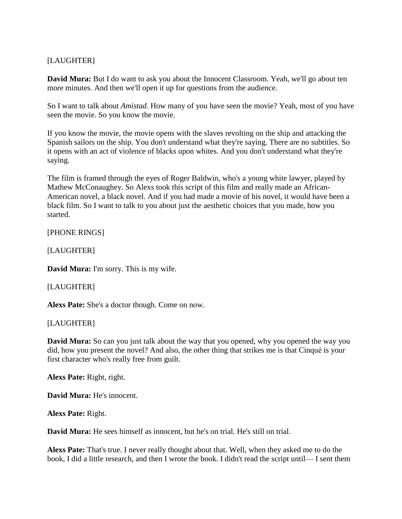# [LAUGHTER]

**David Mura:** But I do want to ask you about the Innocent Classroom. Yeah, we'll go about ten more minutes. And then we'll open it up for questions from the audience.

So I want to talk about *Amistad*. How many of you have seen the movie? Yeah, most of you have seen the movie. So you know the movie.

If you know the movie, the movie opens with the slaves revolting on the ship and attacking the Spanish sailors on the ship. You don't understand what they're saying. There are no subtitles. So it opens with an act of violence of blacks upon whites. And you don't understand what they're saying.

The film is framed through the eyes of Roger Baldwin, who's a young white lawyer, played by Mathew McConaughey. So Alexs took this script of this film and really made an African-American novel, a black novel. And if you had made a movie of his novel, it would have been a black film. So I want to talk to you about just the aesthetic choices that you made, how you started.

[PHONE RINGS]

[LAUGHTER]

**David Mura:** I'm sorry. This is my wife.

[LAUGHTER]

**Alexs Pate:** She's a doctor though. Come on now.

[LAUGHTER]

**David Mura:** So can you just talk about the way that you opened, why you opened the way you did, how you present the novel? And also, the other thing that strikes me is that Cinqué is your first character who's really free from guilt.

**Alexs Pate:** Right, right.

**David Mura:** He's innocent.

**Alexs Pate:** Right.

**David Mura:** He sees himself as innocent, but he's on trial. He's still on trial.

**Alexs Pate:** That's true. I never really thought about that. Well, when they asked me to do the book, I did a little research, and then I wrote the book. I didn't read the script until— I sent them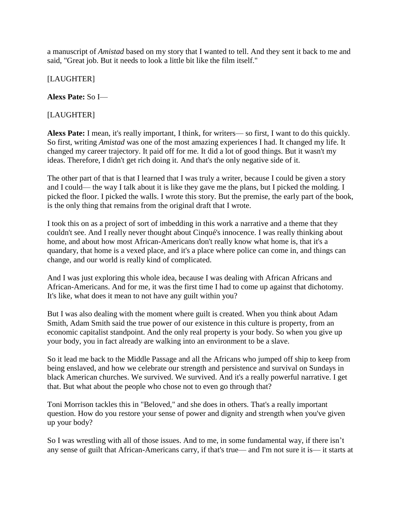a manuscript of *Amistad* based on my story that I wanted to tell. And they sent it back to me and said, "Great job. But it needs to look a little bit like the film itself."

[LAUGHTER]

**Alexs Pate:** So I—

[LAUGHTER]

**Alexs Pate:** I mean, it's really important, I think, for writers— so first, I want to do this quickly. So first, writing *Amistad* was one of the most amazing experiences I had. It changed my life. It changed my career trajectory. It paid off for me. It did a lot of good things. But it wasn't my ideas. Therefore, I didn't get rich doing it. And that's the only negative side of it.

The other part of that is that I learned that I was truly a writer, because I could be given a story and I could— the way I talk about it is like they gave me the plans, but I picked the molding. I picked the floor. I picked the walls. I wrote this story. But the premise, the early part of the book, is the only thing that remains from the original draft that I wrote.

I took this on as a project of sort of imbedding in this work a narrative and a theme that they couldn't see. And I really never thought about Cinqué's innocence. I was really thinking about home, and about how most African-Americans don't really know what home is, that it's a quandary, that home is a vexed place, and it's a place where police can come in, and things can change, and our world is really kind of complicated.

And I was just exploring this whole idea, because I was dealing with African Africans and African-Americans. And for me, it was the first time I had to come up against that dichotomy. It's like, what does it mean to not have any guilt within you?

But I was also dealing with the moment where guilt is created. When you think about Adam Smith, Adam Smith said the true power of our existence in this culture is property, from an economic capitalist standpoint. And the only real property is your body. So when you give up your body, you in fact already are walking into an environment to be a slave.

So it lead me back to the Middle Passage and all the Africans who jumped off ship to keep from being enslaved, and how we celebrate our strength and persistence and survival on Sundays in black American churches. We survived. We survived. And it's a really powerful narrative. I get that. But what about the people who chose not to even go through that?

Toni Morrison tackles this in "Beloved," and she does in others. That's a really important question. How do you restore your sense of power and dignity and strength when you've given up your body?

So I was wrestling with all of those issues. And to me, in some fundamental way, if there isn't any sense of guilt that African-Americans carry, if that's true— and I'm not sure it is— it starts at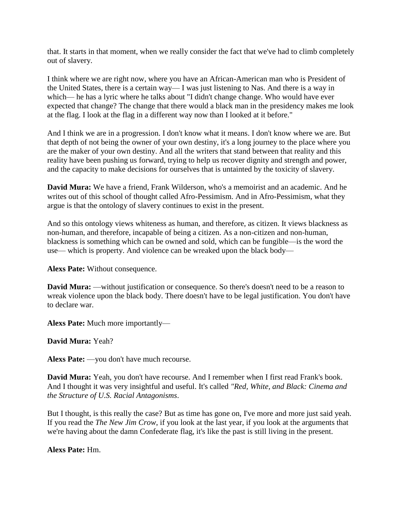that. It starts in that moment, when we really consider the fact that we've had to climb completely out of slavery.

I think where we are right now, where you have an African-American man who is President of the United States, there is a certain way— I was just listening to Nas. And there is a way in which— he has a lyric where he talks about "I didn't change change. Who would have ever expected that change? The change that there would a black man in the presidency makes me look at the flag. I look at the flag in a different way now than I looked at it before."

And I think we are in a progression. I don't know what it means. I don't know where we are. But that depth of not being the owner of your own destiny, it's a long journey to the place where you are the maker of your own destiny. And all the writers that stand between that reality and this reality have been pushing us forward, trying to help us recover dignity and strength and power, and the capacity to make decisions for ourselves that is untainted by the toxicity of slavery.

**David Mura:** We have a friend, Frank Wilderson, who's a memoirist and an academic. And he writes out of this school of thought called Afro-Pessimism. And in Afro-Pessimism, what they argue is that the ontology of slavery continues to exist in the present.

And so this ontology views whiteness as human, and therefore, as citizen. It views blackness as non-human, and therefore, incapable of being a citizen. As a non-citizen and non-human, blackness is something which can be owned and sold, which can be fungible—is the word the use— which is property. And violence can be wreaked upon the black body—

**Alexs Pate:** Without consequence.

**David Mura:** —without justification or consequence. So there's doesn't need to be a reason to wreak violence upon the black body. There doesn't have to be legal justification. You don't have to declare war.

**Alexs Pate:** Much more importantly—

**David Mura:** Yeah?

**Alexs Pate:** —you don't have much recourse.

**David Mura:** Yeah, you don't have recourse. And I remember when I first read Frank's book. And I thought it was very insightful and useful. It's called *"Red, White, and Black: Cinema and the Structure of U.S. Racial Antagonisms*.

But I thought, is this really the case? But as time has gone on, I've more and more just said yeah. If you read the *The New Jim Crow*, if you look at the last year, if you look at the arguments that we're having about the damn Confederate flag, it's like the past is still living in the present.

## **Alexs Pate:** Hm.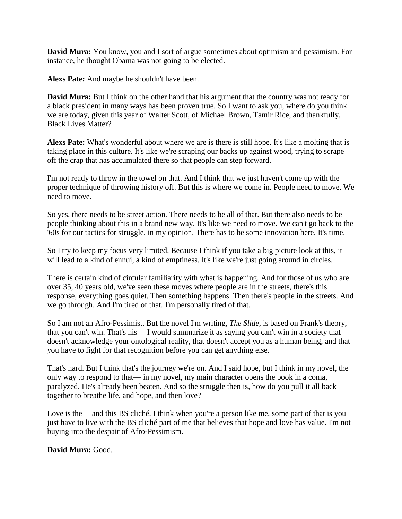**David Mura:** You know, you and I sort of argue sometimes about optimism and pessimism. For instance, he thought Obama was not going to be elected.

**Alexs Pate:** And maybe he shouldn't have been.

**David Mura:** But I think on the other hand that his argument that the country was not ready for a black president in many ways has been proven true. So I want to ask you, where do you think we are today, given this year of Walter Scott, of Michael Brown, Tamir Rice, and thankfully, Black Lives Matter?

**Alexs Pate:** What's wonderful about where we are is there is still hope. It's like a molting that is taking place in this culture. It's like we're scraping our backs up against wood, trying to scrape off the crap that has accumulated there so that people can step forward.

I'm not ready to throw in the towel on that. And I think that we just haven't come up with the proper technique of throwing history off. But this is where we come in. People need to move. We need to move.

So yes, there needs to be street action. There needs to be all of that. But there also needs to be people thinking about this in a brand new way. It's like we need to move. We can't go back to the '60s for our tactics for struggle, in my opinion. There has to be some innovation here. It's time.

So I try to keep my focus very limited. Because I think if you take a big picture look at this, it will lead to a kind of ennui, a kind of emptiness. It's like we're just going around in circles.

There is certain kind of circular familiarity with what is happening. And for those of us who are over 35, 40 years old, we've seen these moves where people are in the streets, there's this response, everything goes quiet. Then something happens. Then there's people in the streets. And we go through. And I'm tired of that. I'm personally tired of that.

So I am not an Afro-Pessimist. But the novel I'm writing, *The Slide*, is based on Frank's theory, that you can't win. That's his— I would summarize it as saying you can't win in a society that doesn't acknowledge your ontological reality, that doesn't accept you as a human being, and that you have to fight for that recognition before you can get anything else.

That's hard. But I think that's the journey we're on. And I said hope, but I think in my novel, the only way to respond to that— in my novel, my main character opens the book in a coma, paralyzed. He's already been beaten. And so the struggle then is, how do you pull it all back together to breathe life, and hope, and then love?

Love is the— and this BS cliché. I think when you're a person like me, some part of that is you just have to live with the BS cliché part of me that believes that hope and love has value. I'm not buying into the despair of Afro-Pessimism.

## **David Mura:** Good.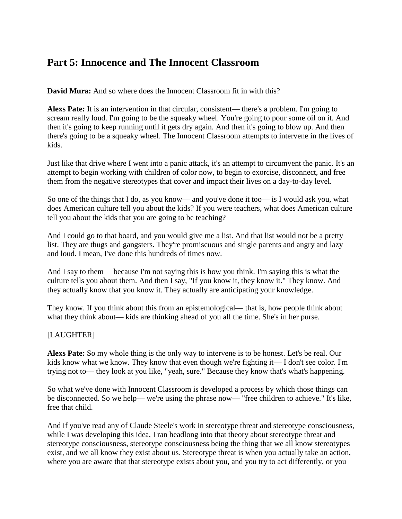# **Part 5: Innocence and The Innocent Classroom**

**David Mura:** And so where does the Innocent Classroom fit in with this?

**Alexs Pate:** It is an intervention in that circular, consistent— there's a problem. I'm going to scream really loud. I'm going to be the squeaky wheel. You're going to pour some oil on it. And then it's going to keep running until it gets dry again. And then it's going to blow up. And then there's going to be a squeaky wheel. The Innocent Classroom attempts to intervene in the lives of kids.

Just like that drive where I went into a panic attack, it's an attempt to circumvent the panic. It's an attempt to begin working with children of color now, to begin to exorcise, disconnect, and free them from the negative stereotypes that cover and impact their lives on a day-to-day level.

So one of the things that I do, as you know— and you've done it too— is I would ask you, what does American culture tell you about the kids? If you were teachers, what does American culture tell you about the kids that you are going to be teaching?

And I could go to that board, and you would give me a list. And that list would not be a pretty list. They are thugs and gangsters. They're promiscuous and single parents and angry and lazy and loud. I mean, I've done this hundreds of times now.

And I say to them— because I'm not saying this is how you think. I'm saying this is what the culture tells you about them. And then I say, "If you know it, they know it." They know. And they actually know that you know it. They actually are anticipating your knowledge.

They know. If you think about this from an epistemological— that is, how people think about what they think about— kids are thinking ahead of you all the time. She's in her purse.

## [LAUGHTER]

**Alexs Pate:** So my whole thing is the only way to intervene is to be honest. Let's be real. Our kids know what we know. They know that even though we're fighting it— I don't see color. I'm trying not to— they look at you like, "yeah, sure." Because they know that's what's happening.

So what we've done with Innocent Classroom is developed a process by which those things can be disconnected. So we help— we're using the phrase now— "free children to achieve." It's like, free that child.

And if you've read any of Claude Steele's work in stereotype threat and stereotype consciousness, while I was developing this idea, I ran headlong into that theory about stereotype threat and stereotype consciousness, stereotype consciousness being the thing that we all know stereotypes exist, and we all know they exist about us. Stereotype threat is when you actually take an action, where you are aware that that stereotype exists about you, and you try to act differently, or you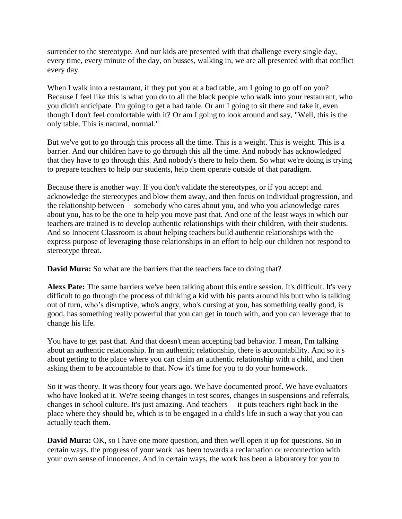surrender to the stereotype. And our kids are presented with that challenge every single day, every time, every minute of the day, on busses, walking in, we are all presented with that conflict every day.

When I walk into a restaurant, if they put you at a bad table, am I going to go off on you? Because I feel like this is what you do to all the black people who walk into your restaurant, who you didn't anticipate. I'm going to get a bad table. Or am I going to sit there and take it, even though I don't feel comfortable with it? Or am I going to look around and say, "Well, this is the only table. This is natural, normal."

But we've got to go through this process all the time. This is a weight. This is weight. This is a barrier. And our children have to go through this all the time. And nobody has acknowledged that they have to go through this. And nobody's there to help them. So what we're doing is trying to prepare teachers to help our students, help them operate outside of that paradigm.

Because there is another way. If you don't validate the stereotypes, or if you accept and acknowledge the stereotypes and blow them away, and then focus on individual progression, and the relationship between— somebody who cares about you, and who you acknowledge cares about you, has to be the one to help you move past that. And one of the least ways in which our teachers are trained is to develop authentic relationships with their children, with their students. And so Innocent Classroom is about helping teachers build authentic relationships with the express purpose of leveraging those relationships in an effort to help our children not respond to stereotype threat.

**David Mura:** So what are the barriers that the teachers face to doing that?

**Alexs Pate:** The same barriers we've been talking about this entire session. It's difficult. It's very difficult to go through the process of thinking a kid with his pants around his butt who is talking out of turn, who's disruptive, who's angry, who's cursing at you, has something really good, is good, has something really powerful that you can get in touch with, and you can leverage that to change his life.

You have to get past that. And that doesn't mean accepting bad behavior. I mean, I'm talking about an authentic relationship. In an authentic relationship, there is accountability. And so it's about getting to the place where you can claim an authentic relationship with a child, and then asking them to be accountable to that. Now it's time for you to do your homework.

So it was theory. It was theory four years ago. We have documented proof. We have evaluators who have looked at it. We're seeing changes in test scores, changes in suspensions and referrals, changes in school culture. It's just amazing. And teachers— it puts teachers right back in the place where they should be, which is to be engaged in a child's life in such a way that you can actually teach them.

**David Mura:** OK, so I have one more question, and then we'll open it up for questions. So in certain ways, the progress of your work has been towards a reclamation or reconnection with your own sense of innocence. And in certain ways, the work has been a laboratory for you to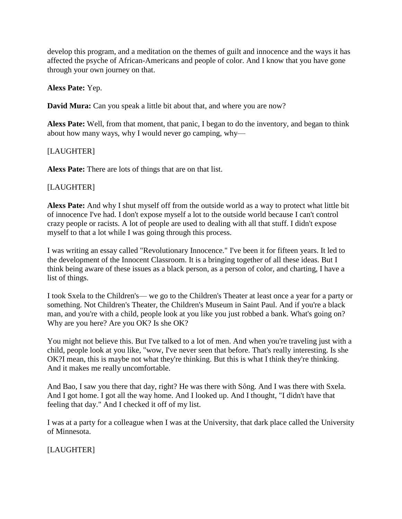develop this program, and a meditation on the themes of guilt and innocence and the ways it has affected the psyche of African-Americans and people of color. And I know that you have gone through your own journey on that.

### **Alexs Pate:** Yep.

**David Mura:** Can you speak a little bit about that, and where you are now?

**Alexs Pate:** Well, from that moment, that panic, I began to do the inventory, and began to think about how many ways, why I would never go camping, why—

## [LAUGHTER]

**Alexs Pate:** There are lots of things that are on that list.

#### [LAUGHTER]

**Alexs Pate:** And why I shut myself off from the outside world as a way to protect what little bit of innocence I've had. I don't expose myself a lot to the outside world because I can't control crazy people or racists. A lot of people are used to dealing with all that stuff. I didn't expose myself to that a lot while I was going through this process.

I was writing an essay called "Revolutionary Innocence." I've been it for fifteen years. It led to the development of the Innocent Classroom. It is a bringing together of all these ideas. But I think being aware of these issues as a black person, as a person of color, and charting, I have a list of things.

I took Sxela to the Children's— we go to the Children's Theater at least once a year for a party or something. Not Children's Theater, the Children's Museum in Saint Paul. And if you're a black man, and you're with a child, people look at you like you just robbed a bank. What's going on? Why are you here? Are you OK? Is she OK?

You might not believe this. But I've talked to a lot of men. And when you're traveling just with a child, people look at you like, "wow, I've never seen that before. That's really interesting. Is she OK?I mean, this is maybe not what they're thinking. But this is what I think they're thinking. And it makes me really uncomfortable.

And Bao, I saw you there that day, right? He was there with Sông. And I was there with Sxela. And I got home. I got all the way home. And I looked up. And I thought, "I didn't have that feeling that day." And I checked it off of my list.

I was at a party for a colleague when I was at the University, that dark place called the University of Minnesota.

## [LAUGHTER]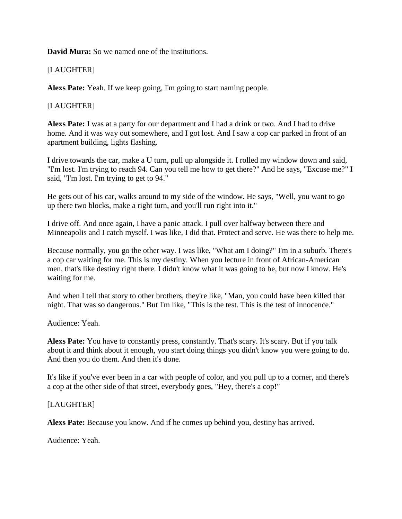**David Mura:** So we named one of the institutions.

## [LAUGHTER]

**Alexs Pate:** Yeah. If we keep going, I'm going to start naming people.

### [LAUGHTER]

**Alexs Pate:** I was at a party for our department and I had a drink or two. And I had to drive home. And it was way out somewhere, and I got lost. And I saw a cop car parked in front of an apartment building, lights flashing.

I drive towards the car, make a U turn, pull up alongside it. I rolled my window down and said, "I'm lost. I'm trying to reach 94. Can you tell me how to get there?" And he says, "Excuse me?" I said, "I'm lost. I'm trying to get to 94."

He gets out of his car, walks around to my side of the window. He says, "Well, you want to go up there two blocks, make a right turn, and you'll run right into it."

I drive off. And once again, I have a panic attack. I pull over halfway between there and Minneapolis and I catch myself. I was like, I did that. Protect and serve. He was there to help me.

Because normally, you go the other way. I was like, "What am I doing?" I'm in a suburb. There's a cop car waiting for me. This is my destiny. When you lecture in front of African-American men, that's like destiny right there. I didn't know what it was going to be, but now I know. He's waiting for me.

And when I tell that story to other brothers, they're like, "Man, you could have been killed that night. That was so dangerous." But I'm like, "This is the test. This is the test of innocence."

Audience: Yeah.

**Alexs Pate:** You have to constantly press, constantly. That's scary. It's scary. But if you talk about it and think about it enough, you start doing things you didn't know you were going to do. And then you do them. And then it's done.

It's like if you've ever been in a car with people of color, and you pull up to a corner, and there's a cop at the other side of that street, everybody goes, "Hey, there's a cop!"

#### [LAUGHTER]

**Alexs Pate:** Because you know. And if he comes up behind you, destiny has arrived.

Audience: Yeah.